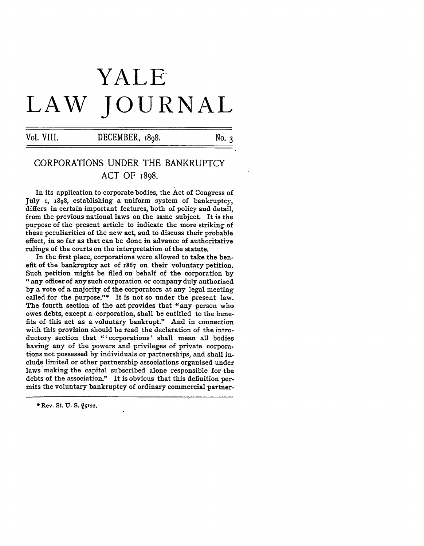# YALE LAW **JOURNAL**

| Vol. VIII. | DECEMBER, 1898. | No. $3$ |
|------------|-----------------|---------|
|------------|-----------------|---------|

# CORPORATIONS UNDER THE BANKRUPTCY ACT OF 1898.

In its application to corporate bodies, the Act of Congress of July **i,** 1898, establishing a uniform system of bankruptcy, differs in certain important features, both of policy and detail, from the previous national laws on the same subject. It is the purpose of the present article to indicate the more striking of these peculiarities of the new act, and to discuss their probable effect, in so far as that can be done in advance of authoritative rulings of the courts on the interpretation of the statute.

In the first place, corporations were allowed to take the benefit of the bankruptcy act of **1867** on their voluntary petition. Such petition might be filed on behalf of the corporation by "any officer of any such corporation or company duly authorized by a vote of a majority of the corporators at any legal meeting called for the purpose."\* It is not so under the present law. The fourth section of the act provides that "any person who owes debts, except a corporation, shall be entitled to the benefits of this act as a voluntary bankrupt." And in connection with this provision should be read the declaration of the introductory section that "' corporations' shall mean all bodies having any of the powers and privileges of private corporations not possessed **by** individuals or partnerships, and shall include limited or other partnership associations organized under laws making the capital subscribed alone responsible for the debts of the association." It is obvious that this definition permits the voluntary bankruptcy of ordinary commercial partner-

*<sup>\*</sup>* Rev. St. **U. S. §5122.**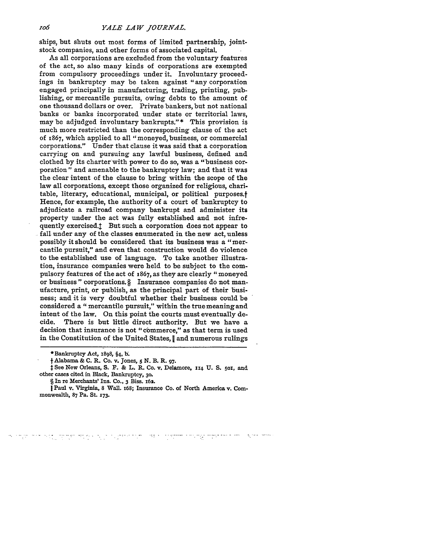ships, but shuts out most forms of limited partnership, jointstock companies, and other forms of associated capital.

As all corporations are excluded from the voluntary features of the act, so also many kinds of corporations are exempted from compulsory proceedings under it. Involuntary proceedings in bankruptcy may be taken against "any corporation engaged principally in manufacturing, trading, printing, publishing, or mercantile pursuits, owing debts to the amount of one thousand dollars or over. Private bankers, but not national banks or banks incorporated under state or territorial laws, may be adjudged involuntary bankrupts." **\*** This provision is much more restricted than the corresponding clause of the act of 1867, which applied to all "moneyed, business, or commercial corporations." Under that clause it was said that a corporation carrying on and pursuing any lawful business, defined and clothed **by** its charter with power to do so, was a "business corporation" and amenable to the bankruptcy law; and that it was the clear intent of the clause to bring within the scope of the law all corporations, except those organized for religious, charitable, literary, educational, municipal, or political purposes.<sup>†</sup> Hence, for example, the authority of a court of bankruptcy to adjudicate a railroad company bankrupt and administer its property under the act was fully established and not infrequently exercised.1 But such a corporation does not appear to fall under any of the classes enumerated in the new act, unless possibly it should be considered that its business was a "mercantile pursuit," and even that construction would do violence to the established use of language. To take another illustration, insurance companies were held to be subject to the compulsory features of the act of 1867, as they are clearly "moneyed or business" corporations. § Insurance companies do not manufacture, print, or publish, as the principal part of their business; and it is very doubtful whether their business could be considered a "mercantile pursuit," within the true meaning and intent of the law. On this point the courts must eventually decide. There is but little direct authority. But we have a decision that insurance is not "commerce," as that term is used in the Constitution of the United States, **0** and numerous rulings

 $\mathcal{M}(\mathcal{P}) \cong \mathcal{M}(\mathcal{P}) \cong \mathcal{M}(\mathcal{P}) \cong \mathcal{M}(\mathcal{P}) \cong \mathcal{M}(\mathcal{P}) \cong \mathcal{M}(\mathcal{P}) \cong \mathcal{M}(\mathcal{P}) \cong \mathcal{M}(\mathcal{P}) \cong \mathcal{M}(\mathcal{P}) \cong \mathcal{M}(\mathcal{P}) \cong \mathcal{M}(\mathcal{P}) \cong \mathcal{M}(\mathcal{P}) \cong \mathcal{M}(\mathcal{P}) \cong \mathcal{M}(\mathcal{P}) \cong \mathcal{M}(\mathcal{$ 

<sup>\*</sup>Bankruptcy Act, **1898, §4, b.**

tAlabama **& C.** R. Co. v. Jones, **5 N.** B. R. **97.**

t See New Orleans, **S.** F. & L. R. Co. v. Delamore, 114 **U. S. 5o,** and other cases cited in Black, Bankruptcy, **30.**

<sup>§</sup> In re Merchants' Ins. Co., **3** Biss. 162.

Paul v. Virginia, 8 Wall. 168; Insurance Co. of North America v. **Com**monwealth, **87** Pa. St. **173.**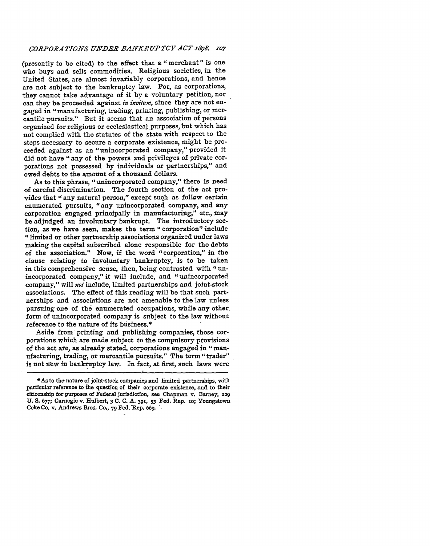# *CORPORATIONS UNDER BANKRUPTCY ACT x89& o7*

(presently to be cited) to the effect that a "merchant" is one who buys and sells commodities. Religious societies, in the United States, are almost invariably corporations, and hence are not subject to the bankruptcy law. For, as corporations, they cannot take advantage of it **by** a -voluntary petition, nor can they be proceeded against *in invitum,* since they are not engaged in "manufacturing, trading, printing, publishing, or mercantile pursuits." But it seems that an association of persons organized for religious or ecclesiastical purposes, but which has not complied with the statutes of the state With respect to the steps necessary to secure a corporate existence, might be proceeded against as an "unincorporated company," provided it did not have "any of the powers and privileges of private corporations not possessed **by** individuals or partnerships," and owed debts to the amount of a thousand dollars.

As to this phrase, "unincorporated company," there is need of careful discrimination. The fourth section of the act provides that "any natural person," except such as follow certain enumerated pursuits, "any unincorporated company, and any corporation engaged principally in manufacturing," etc., may be adjudged an involuntary bankrupt. The introductory section, as we have seen, makes the term "corporation" include "limited or other partnership associations organized under laws making the capital subscribed alone responsible for the debts of the association." Now, if the word "corporation," in the clause relating to involuntary bankruptcy, is to be taken in this comprehensive sense, then, being contrasted with "unincorporated company," it will include, and "unincorporated company," will *not* include, limited partnerships and joint-stock associations. The effect of this reading will be that such partnerships and associations are not amenable to the law unless pursuing one of the enumerated occupations, while any other. form of unincorporated company is subject to the law without reference to the nature of its business.\*

Aside from printing and publishing companies, those corporations which are made subject to the compulsory provisions of the act are, as already stated, corporations engaged in "manufacturing, trading, or mercantile pursuits." The term "trader" is not new in bankruptcy law. In fact, at first, such laws were

<sup>\*</sup>As to the nature of joint-stock companies and limited partnerships, with particular reference to ihe question of their corporate existence, and to their citizenship for purposes of Federal jurisdiction, see Chapman v. Barney, **129 U.** S. **677;** Carnegie v. Hulbert, **3** *C.* **C.** A. 39r, **53** Fed. Rep. **io;** Youngstown Coke Co. v. Andrews Bros. **Co.,, 79** Fed. Rep. **669, -**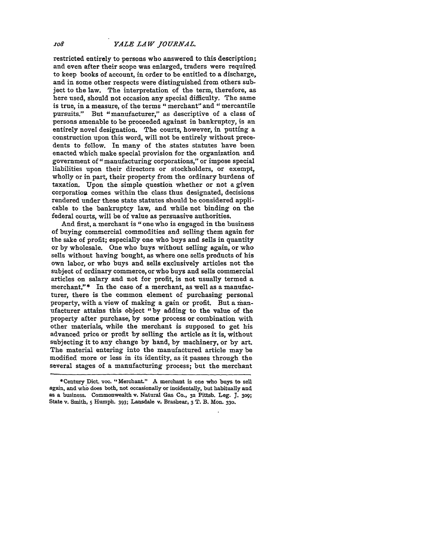restricted entirely to persons who answered to this description; and even after their scope was enlarged, traders were required to keep books of account, in order to be entitled to a discharge, and in some other respects were distinguished from others subject to the law. The interpretation of the term, therefore, as here used, should not occasion any special difficulty. The same is true, in a measure, of the terms "merchant" and "mercantile pursuits." But "manufacturer," as descriptive of a class of persons amenable to be proceeded against in bankruptcy, is an entirely novel designation. The courts, however, in putting a construction upon this word, will not be entirely without precedents to follow. In many of the states statutes have been enacted which make special provision for the organization and government of "manufacturing corporations," or impose special liabilities upon their directors or stockholders, or exempt, wholly or in part, their property from the ordinary burdens of taxation. Upon the simple question whether or not a given corporatiou comes within the class thus designated, decisions rendered under these state statutes should be considered applicable to the bankruptcy law, and while not binding on the federal courts, will be of value as persuasive authorities.

**And** first, a merchant is "one who is engaged in the business of buying commercial commodities and selling them again for the sake of profit; especially one who buys and sells in quantity or **by** wholesale. One who buys without selling again, or who sells without having bought, as where one sells products of his own labor, or who buys and sells exclusively articles not the subject of ordinary commerce, or who buys and sells commercial articles on salary and not for profit, is not usually termed a merchant."\* In the case of a merchant, as well as a manufacturer, there is the common element of purchasing personal property, with a view of making a gain or profit. But a manufacturer attains this object **"by** adding to the value of the property after purchase, **by** some process or combination with other materials, while the merchant is supposed to get his advanced price or profit **by** selling the article as it is, without subjecting it to any change **by** hand, **by** machinery, or **by** art. The material entering into the manufactured article may be modified more or less in its identity, as it passes through the several stages of a manufacturing process; but the merchant

<sup>\*</sup>Century Dict. voc. "Merchant." **A** merchant is one who buys to sell again, and who does both, not occasionally or incidentally, but habitually and as a business. Commonwealth v. Natural Gas **Co., 32** Pittsb. Leg. **J.** 30o; State v. Smith, **5** Humph. **393;** Lansdale v. Brashear, 3 T. B. Mon. **330.**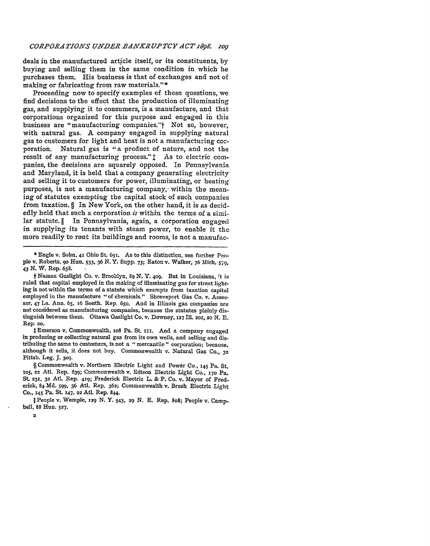#### $CORPORTIONS UNDER BANKRUPTCY ACT I808, I00$

deals in the manufactured article itself, or its constituents, **by** buying and selling them in the same condition in which he purchases them. His business is that of exchanges and not of making or fabricating from raw materials."\*

Proceeding now to specify examples of these questions, we find decisions to the effect that the production of illuminating gas, and supplying it to consumers, is a manufacture, and that corporations organized for this purpose and engaged in this business are "manufacturing companies." Not so, however, with natural gas. **A** company engaged in supplying natural gas to customers for light and heat is not a manufacturing corporation. Natural gas is **"a** product of nature, and not the result of any manufacturing process."  $\uparrow$  As to electric companies, the decisions are squarely opposed. In Pennsylvania and Maryland, it is held that a company generating electricity and selling it to customers for power, illuminating, or heating purposes, is not a manufacturing company, within the meaning of statutes exempting the capital stock of such companies from taxation. **§** In New York, on the other hand, it is as decidedly held that such a corporation *is* within the terms of a similar statute. **1** In Pennsylvania, again, a corporation engaged in supplying its tenants with steam power, to enable it the more readily to rent its buildings **and** rooms, is not a manufac-

**t** Emerson v. Commonwealth, **io8** Pa. St. **iii.** And a company engaged in producing or collecting natural gas from its own wells, and selling and distributing the same to customers, is not a "mercantile" corporation; because, although it sells, it does not buy. Commonwealth v. Natural Gas **Co., 32** Pittsb. Leg. **J. 309.**

**§** Commonwealth v. Northern Electric Light and Power Co., **145** Pa. St. **1o, 22 At.** Rep. **839;** Commonwealth v. Edison Electric Light Co., **170** Pa. St **231, 32 AtL** Rep. **4x9;** Frederick Electric L. **&** P. Co. v. Mayor of Frederick, 84 **Md. 599, 36** Atl. Rep. **362;** Commonwealth v. Brush Electric Light **Co., 145** Pa. St. **147, 22** At. Rep. **844.**

People v. Wemple, **129 N.** Y. 543, **29 N. E.** Rep. 8o8; People v. Campbell, **88** Hun. **527.**

**<sup>\*</sup>** Engle v. Sohn. **41** Ohio St. **69t.** As to this distinction, see further People v. Roberts. go Hun. **533, 36 N.** Y. Supp. **73;** Eaton v. Walker, **76** Mich. **579, 43 N.** W. Rep. **638.**

**f** Nassau Gaslight Co. v. Brooklyn, **89 N.** Y. **409.** But in Louisiana., t is ruled that capital employed in the making of illuminating gas for street lighting is not within the terms of a statute which exempts from taxation capital employed in the manufacture **"of** chemicals." Shreveport Gas Co. v. Assessor, 47 La. Ann. 65, 16 South. Rep. 650. And in Illinois gas companies are not considered as manufacturing companies, because the statutes plainly distinguish between them. Ottawa Gaslight Co. v. Downey, **127** Ill. **201, 2o N. E.** Rep. **20.**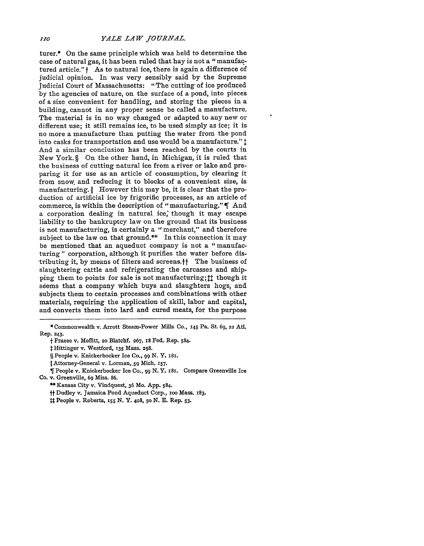turer.\* On the same principle which was held to determine the case of natural gas, it has been ruled that hay is not a "manufactured article." | As to natural ice, there is again a difference of judicial opinion. In was very sensibly said by the Supreme Judicial Court of Massachusetts: "The cutting of ice produced by the agencies of nature, on the surface of a pond, into pieces of a size convenient for handling, and storing the pieces in a building, cannot in any proper sense be called a manufacture. The material is in no way changed or adapted to any new or different use; it still remains ice, to be used simply as ice; it is no more a manufacture than putting the water from the pond into casks for transportation and use would be a manufacture." **I** And a similar conclusion has been reached by the courts in New York. § On the other hand, in Michigan, it is ruled that the business of cutting natural ice from a river or lake and preparing it for use as an article of consumption, by clearing it from snow. and reducing it to blocks of a convenient size, is manufacturing. **11 However this may be, it is clear that the pro**duction of artificial ice by frigorific processes, as an article of commerce, is within the description of "manufacturing."  $\P$  And a corporation dealing in natural ice; though it may escape liability to the bankruptcy law on the ground that its business is not manufacturing, is certainly a "merchant," and therefore subject to the law on that ground.\*\* In this connection it may be mentioned that an aqueduct company is not a "manufacturing" corporation, although it purifies the water before dis tributing it, by means of filters and screens. $\dagger \dagger$  The business of slaughtering cattle and refrigerating the carcasses and shipping them to points for sale is not manufacturing;<sup>11</sup> though it seems that a company which buys and slaughters hogs, and subjects them to certain processes and combinations with other materials, requiring the application of skill, labor and capital, and converts them into lard and cured meats, for the purpose

<sup>\*</sup>Commonwealth v. Arrott Steam-Power Mills Co., **145** Pa. St. 69, **22** Atl. Rep. 243.

**f** Frazee v. Moffitt, **20** Blatchf. **267,** 18 Fed. Rep. 584.

t Hittinger v. Westford, 135 Mass. **258.**

**<sup>§</sup>** People v. Knickerbocker Ice Co., 99 **N.** Y. 181.

**I** Attorney-General v. Lorman,.59 Mich. 157.

People v. Knickerbocker Ice Co., 99 N.Y. i81. Compare Greenville Ice

Co. v. Greenville, **69** Miss. 86.

*<sup>\*\*</sup>* Kansas City v. Vindquest, **36** Mo. App. 584.

f Dudley v. Jamaica Pond Aqueduct Corp., ioo Mass. 183.

**<sup>#1</sup>** People v. Roberts, **155 N.** Y. 408, **50 N. E.** Rep. **53.**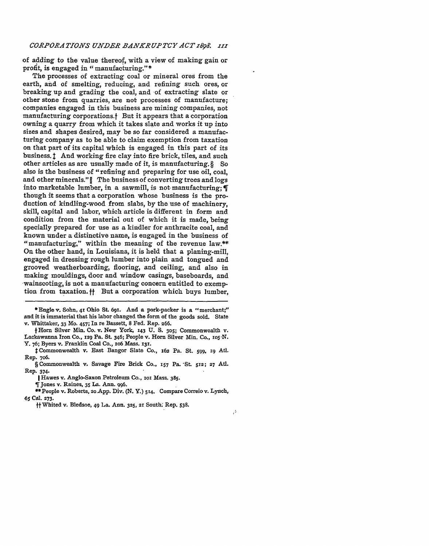of adding to the value thereof, with a view of making gain or profit, is engaged in "manufacturing."\*

The processes of extracting coal or mineral ores from the earth, and of smelting, reducing, and refining such ores, or breaking up and grading the coal, and of extracting slate or other stone from quarries, are not processes of manufacture; companies engaged in this business are mining companies, not manufacturing corporations.f But it appears that a corporation owning a quarry from which it takes slate and works it up into sizes and shapes desired, may be so far considered a manufacturing company as to be able to claim exemption from taxation on that part of its capital which is engaged in this part of its business. **I** And working fire clay into fire brick, tiles, and such other articles as are usually made of it, is manufacturing. § So also is the business of "refining and preparing for use oil, coal, and other minerals." **| The business of converting trees and logs** into marketable lumber, in a sawmill, is not manufacturing;  $\P$ though it seems that a corporation whose business is the production of kindling-wood from slabs, **by** the use of machinery, skill, capital and labor, which article is different in form and condition from the material out of which it is made, being specially prepared for use as a kindler for anthracite coal, and known under a distinctive name, is engaged in the business of "manufacturing," within the meaning of the revenue law.\*\* On the other hand, in Louisiana, it is held that a planing-mill, engaged in dressing rough lumber into plain and tongued and grooved weatherboarding, flooring, and ceiling, and also in making mouldings, door and window casings, baseboards, and wainscoting, is not a manufacturing concern entitled to exemption from taxation. ft But a corporation which buys lumber,

\*Engle v. Sohn, 41 Ohio **St.** 691. And a pork-packer is a "merchant;" and it is immaterial that his labor changed the form of the goods sold. State v. Whittaker, **33** Mo. 457; In re Bassett, **8** Fed. Rep. **266.**

tHorn Silver Min. Co. v. New York, **143 U. S. 3o5;** Commonwealth v. Lackawanna Iron Co., **129** Pa. St. 346; People v. **Horn** Silver **Min. Co., o5-N. Y. 76;** Byers v. Franklin Coal Co., xo6 Mass. **131.**

t Commonwealth v. East Bangor Slate Co., **162** Pa. St. **599,** ig AUt. Rep. **706.**

§Commonwealth v. Savage Fire Brick Co., **257 Pa. "St 512; 27** AUt. Rep. 374.

*I* Hawes v. Anglo-Saxon Petroleum Co., iox Mass. **385.**

TJones v. Raines, 35 La. Ann. **996.**

\*\*People v. Roberts, **2oApp.** Div. **(N. Y.) 514.** Compare Correio v. **Lynch, 65** Cal. **273.**

 $\mathcal{L}$ 

StWhited v. Bledsoe, 49 La. Ann. **325, 21** South. Rep. **538.**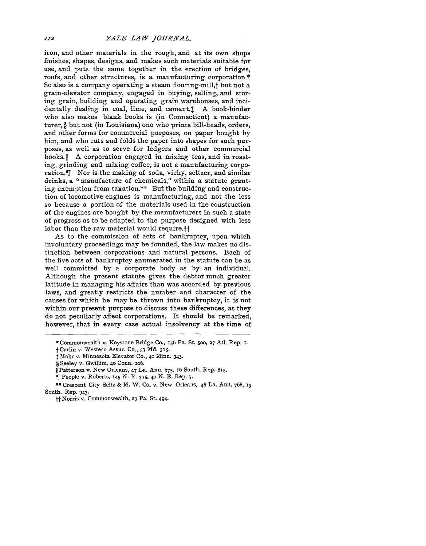iron, and other materials in the rough, and at its own shops finishes, shapes, designs, and makes such materials suitable for use, and puts the same together in the erection of bridges, roofs, and other structures, is a manufacturing corporation.\* So also is a company operating a steam flouring-mill,<sup>†</sup> but not a grain-elevator company, engaged in buying, selling, and storing grain, building and operating grain warehouses, and incidentally dealing in coal, lime, and cement.<sup>†</sup> A book-binder who also makes blank books is (in Connecticut) a manufacturer, § but not (in Louisiana) one who prints bill-heads, orders, and other forms for commercial purposes, on paper bought by him, and who cuts and folds the paper into shapes for such purposes, as well as to serve for ledgers and other commercial books. **I** A corporation engaged in mixing teas, and in roasting, grinding and mixing coffee, is not a manufacturing corporation. Nor is the making of soda, vichy, seltzer, and similar drinks, a "manufacture of chemicals," within a statute granting exemption from taxation.\*\* But the building and construction of locomotive engines is manufacturing, and not the less so because a portion of the materials used in the construction of the engines are bought by the manufacturers in such a state of progress as to be adapted to the purpose designed with less labor than the raw material would require.<sup>†</sup>

As to the commission of acts of bankruptcy, upon which involuntary proceedings may be founded, the law makes no distinction between corporations and natural persons. Each of the five acts of bankruptcy enumerated in the statute can be as well committed by a corporate body as by an individual. Although the present statute gives the debtor much greater latitude in managing his affairs than was accorded by previous laws, and greatly restricts the number and character of the causes for which he may be thrown into bankruptcy, it *is'* not within our present purpose to discuss these differences, as they do not peculiarly affect corporations. It should be remarked, however, that in every case actual insolvency at the time of

<sup>\*</sup>Commonwealth v. Keystone Bridge Co., **156** Pa. St. **5oo, 27** Ad. Rep. x.

**f** Carlin v. Western Assur. Co., **57** Md. 515.

<sup>:</sup> Mohr v. Minnesota Elevator Co., 4o Minn. 343.

<sup>§</sup> Seeley v. Gwillim, **40** Conn., io6.

Patterson v. New Orleans, 47 La. Ann. **275,** 16 South. Rep. **815.**

People v. Roberts, **i45 N. Y.** 375, **40 N. E.** Rep. **7.**

**<sup>\*\*</sup>** Crescent City Seltz & M. W. Co. v. New Orleans, 48 La. Ann. 768, i9 South. Rep. 943.

if Norris v. Commonwealth, **27** Pa. St. 494.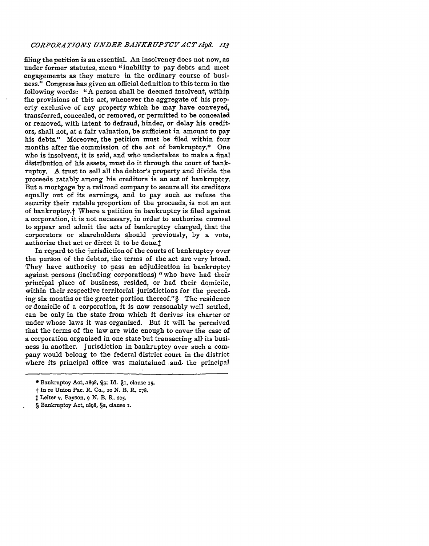### *CORPORATIONS UNDER BAZVKR UPTCY ACT rc98. zz3*

filing the petition is an essential. **An** insolvency does not now, as under former statutes, mean "inability to pay debts and meet engagements as they mature in the ordinary course of business." Congress has given an official definition to this term in the following words: **"A** person shall be deemed insolvent, within the provisions of this act, whenever the aggregate of his property exclusive of any property which he may have conveyed, transferred, concealed, or removed, or permitted to be concealed or removed, with intent to defraud, hinder, or delay his creditors, shall not, at a fair valuation, be sufficient in amount to pay his debts." Moreover, the petition must be filed within four months after the commission of the act of bankruptcy.\* One who is insolvent, it is said, and who undertakes to make a final distribution of his assets, must do it through the court of bankruptcy. A trust to sell all the debtor's property and divide the proceeds ratably among his creditors is an act of bankruptcy. But a mortgage **by** a railroad company to secure all its creditors equally out of its earnings, and to pay such as refuse the security their ratable proportion of the proceeds, is not an act of bankruptcy.<sup>†</sup> Where a petition in bankruptcy is filed against a corporation, it is not necessary, in order to authorize counsel to appear and admit the acts of bankruptcy charged, that the corporators or shareholders should previously, **by** a vote, authorize that act or direct it to be done.1

In regard to the jurisdiction of the courts of bankruptcy over the person of the debtor, the terms of the act are very broad. They have authority to pass an adjudication in bankruptcy against persons (including corporations) "who have had their principal place of business, resided, or had their domicile, within their respective territorial jurisdictions for the preceding six months or the greater portion thereof."§ The residence or domicile of a corporation, it is now reasonably well settled, can be only in the state from which it derives its charter or under whose laws it was organized. But it will be perceived that the terms of the law are wide enough to cover the case of a corporation organized in one state but transacting all- its business in another. Jurisdiction in bankruptcy over such a company would belong to the federal district court in the district where its principal office was maintained and the principal

Bankruptcy Act, **a898, §3;** Id. **§i,** clause **15.**

t In re Union Pac. R. Co., io N. B. R. **178.**

t Leiter v. Payson, **9 N.** B. R. **205.**

**<sup>§</sup>** Bankruptcy Act, **I898, §2,** clause **x.**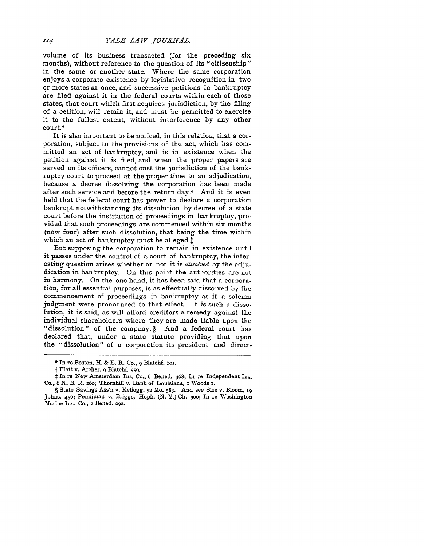volume of its business transacted (for the preceding six months), without reference to the question of its "citizenship" in the same or another state. Where the same corporation enjoys a corporate existence by legislative recognition in two or more states at once, and successive petitions in bankruptcy are filed against it in the federal courts within each of those states, that court which first acquires jurisdiction, by the filing of a petition, will retain it, and must be permitted to exercise it to the fullest extent, without interference by any other court.\*

It is also important to be noticed, in this relation, that a corporation, subject to the provisions of the act, which has committed an act of bankruptcy, and is in existence when the petition against it is filed, and when the proper papers are served on its officers, cannot oust the jurisdiction of the bankruptcy court to proceed at the proper time to an adjudication, because a decree dissolving the corporation has been made after such service and before the return day.<sup>†</sup> And it is even held that the federal court has power to declare a corporation bankrupt notwithstanding its dissolution by decree of a state court before the institution of proceedings in bankruptcy, provided that such proceedings are commenced within six months (now four) after such dissolution, that being the time within which an act of bankruptcy must be alleged.<sup>1</sup>

But supposing the corporation to remain in existence until it passes under the control of a court of bankruptcy, the interesting question arises whether or not it is *dissolved* by the adjudication in bankruptcy. On this point the authorities are not in harmony. On the one hand, it has been said that a corporation, for all essential purposes, is as effectually dissolved by the commencement of proceedings in bankruptcy as if a solemn judgment were pronounced to that effect. It is such a dissolution, it is said, as will afford creditors a remedy against the individual shareholders where they are made liable upon the "dissolution" of the company.§ And a federal court has declared that, under a state statute providing that upon the "dissolution" of a corporation its president and direct-

**<sup>\*</sup>** In re Boston, H. & E. R. Co., 9 Blatchf. ioi.

**f** Platt v. Archer, 9 Blatchf. **559.**

t In re New Amsterdam Ins. Co., 6 Bened. 368; In re Independent Ins. Co., 6 N. B. R. **260;** Thornhil v. Bank of Louisiana, **i** Woods **z.**

**<sup>§</sup>** State Savings Ass'n v. Kellogg, **52** Mo. 583. And see Slee v. Bloom, i9 Johns. 456; Penniman v. Briggs, Hopk. (N. Y.) **Ch.** 3oo; In re Washington Marine Ins. Co., 2 Bened. 292.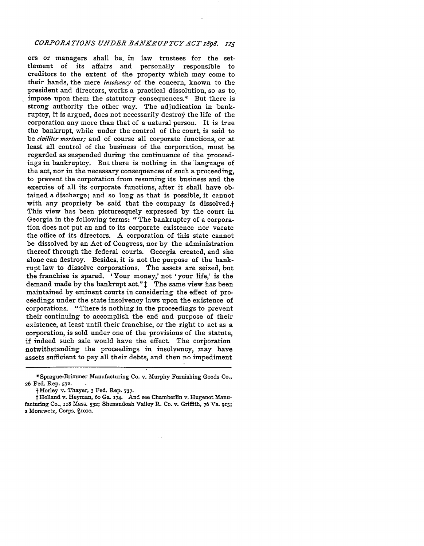#### *CORPORATIONS UNDER BANKRUPTCY ACT 1898. zi <sup>5</sup>*

ors or managers shall **be.** in law trustees for the settlement of its affairs and personally responsible to creditors to the extent of the property which may come to their hands, the mere *insolvency* of the concern, known to the president and directors, works a practical dissolution, so as to impose upon them the statutory consequences.\* But there is strong authority the other way. The adjudication in bankruptcy, it is argued, does not necessarily destroy the life of the corporation any more than that of a natural person. It is true the bankrupt, while under the control of the court, is said to be *civiliter mortuus;* and of course all corporate functions, or at least all control of the business of the corporation, must be regarded as suspended during the continuance of the proceedings in bankruptcy. But there is nothing in the'language of the act, nor in the necessary consequences of such a proceeding, to prevent the corporation from resuming its business and the exercise of all its corporate functions, after it shall have obtained a discharge; and so long as that is possible, it cannot with any propriety be said that the company is dissolved.<sup>†</sup> This view has been picturesquely expressed **by** the court in Georgia in the following terms: "The bankruptcy of a corporation does not put an and to its corporate existence nor vacate the office of its directors. **A** corporation of this state cannot be dissolved **by** an Act of Congress, nor **by** the administration thereof through the federal courts. Georgia created, and she alone can destroy. Besides. it is not the purpose of the bankrupt law to dissolve corporations. The assets are seized, but the franchise is spared. ' Your money,' not 'your life,' is the demand made **by** the bankrupt act." **I** The same view has been maintained **by** eminent courts in considering the effect of procedings under the state insolvency laws upon the existence of corporations. "There is nothing in the proceedings to prevent their continuing to accomplish the end and purpose of their existence, at least until their franchise, or the right to act as a corporation, is sold under one of the provisions of the statute, if indeed such sale would have the effect. The corporation notwithstanding the proceedings in insolvency, may have assets sufficient to pay all their debts, and then no impediment

**<sup>\*</sup>** Sprague-Brimmer Manufacturing Co. v. Murphy Furnishing Goods Co., **26** Fed. Rep. **572.**

tMorley v. Thayer, **3** Fed. Rep. **737.**

tHolland v. Heyman, 6o Ga. **174.** And see Chamberlin v. Hugenot **Manu**facturing Co., 118 Mass. **532;** Shenandoah Valley R. Co. v. Griffith, **76** Va. 913; **2** Morawetz, Corps. §ioio.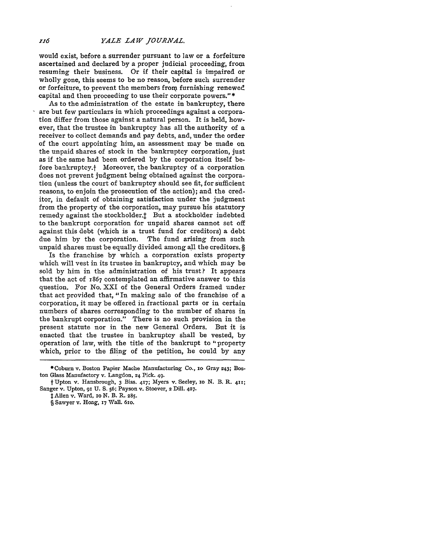would exist, before a surrender pursuant to law or a forfeiture ascertained and declared by a proper judicial proceeding, from resuming their business. Or if their capital is impaired or wholly gone, this seems to be no reason, before such surrender or forfeiture, to prevent the members from furnishing renewed capital and then proceeding to use their corporate powers."\*

As to the administration of the estate in bankruptcy, there are but few particulars in which proceedings against a corporation differ from those against a natural person. It is held, however, that the trustee in bankruptcy has all the authority of a receiver to collect demands and pay debts, and, under the order of the court appointing him, an assessment may be made on the unpaid shares of stock in the bankruptcy corporation, just as if the same had been ordered by the corporation itself before bankruptcy.<sup>†</sup> Moreover, the bankruptcy of a corporation does not prevent judgment being obtained against the corporation (unless the court of bankruptcy should see fit, for sufficient reasons, to enjoin the prosecution of the action); and the creditor, in default of obtaining satisfaction under the judgment from the property of the corporation, may pursue his statutory remedy against the stockholder.<sup>†</sup> But a stockholder indebted to the bankrupt corporation for unpaid shares cannot set off against this debt (which is a trust fund for creditors) a debt due him by the corporation. The fund arising from such unpaid shares must be equally divided among all the creditors. **§**

Is the franchise by which a corporation exists property which will vest in its trustee in bankruptcy, and which may be sold by him in the administration of his trust? It appears that the act of 1867 contemplated an affirmative answer to this question. For No. XXI of the General Orders framed under that act provided that, "In making sale of the franchise of a corporation, it may be offered in fractional parts or in certain numbers of shares corresponding to the number of shares in the bankrupt corporation." There is no such provision in the present statute nor in the new General Orders. But it is enacted that the trustee in bankruptcy shall be vested, by operation of law, with the title of the bankrupt to "property which, prior to the filing of the petition, he could by any

<sup>\*</sup>Coburn v. Boston Papier Mache Manufacturing Co., io Gray 243; Boston Glass Manufactory v. Langdon, **24** Pick. 49.

t Upton v. Hansbrough, **3** Biss. 417; Myers v. Seeley, io N. B. R. 4x; Sanger v. Upton, **91** U. S. **56;** Payson v. Stoever, 2 Dill. 427.

<sup>\$</sup>Allen v. Ward, ioN. B. R. **285.**

<sup>§</sup> Sawyer v. Hoag, **i7** Wall. 61o.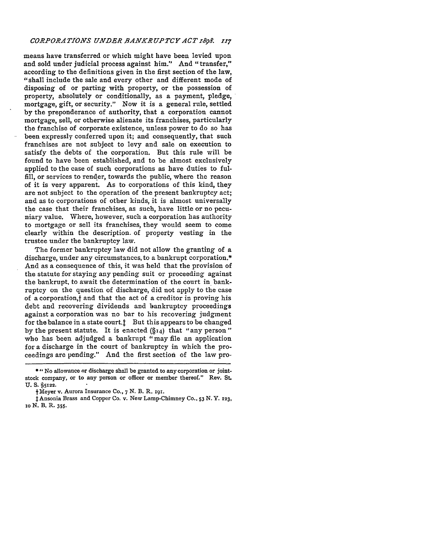#### *CORPORATIONS UNDER BANKRUPTCY ACT 1898. 117*

means have transferred or which might have been levied upon and sold under judicial process against him." And "transfer," according to the definitions given in the first section of the law, "shall include the sale and every other and different mode of disposing of or parting with property, or the possession of property, absolutely or conditionally, as a payment, pledge, mortgage, gift, or security." Now it is a general rule, settled by the preponderance of authority, that a corporation cannot mortgage, sell, or otherwise alienate its franchises, particularly the franchise of corporate existence, unless power to do so has been expressly conferred upon it; and consequently, that such franchises are not subject to levy and sale on execution to satisfy the debts of the corporation. But this rule will be found to have been established, and to be almost exclusively applied to the case of such corporations as have duties to fulfill, or services to render, towards the public, where the reason of it is very apparent. As to corporations of this kind, they are not subject to the operation of the present bankruptcy act; and as to corporations of other kinds, it is almost universally the case that their franchises, as such, have little or no pecuniary value. Where, however, such a corporation has authority to mortgage or sell its franchises, they would seem to come clearly within the description, of property vesting in the trustee under the bankruptcy law.

The former bankruptcy law did not allow the granting of a discharge, under any circumstances, to a bankrupt corporation.\* And as a consequence of this, it was held that the provision of the statute for staying any pending suit or proceeding against the bankrupt, to await the determination of the court in bankruptcy on the question of discharge, did not apply to the case of a corporation, and that the act of a creditor in proving his debt and recovering dividends and bankruptcy proceedings against a corporation was no bar to his recovering judgment for the balance in a state court.<sup>†</sup> But this appears to be changed by the present statute. It is enacted  $(\xi_{14})$  that "any person" who has been adjudged a bankrupt "may file an application for a discharge in the court of bankruptcy in which the proceedings are pending." And the first section of the law pro-

*<sup>\*&</sup>quot;* No allowance or discharge shall be granted to any corporation or jointstock company, or to any person or officer or member thereof." Rev. St. **U.** S. 5122.

*t* Meyer v. Aurora Insurance Co., **7** N. B. R. **191.**

t Ansonia Brass and Copper Co. v. New Lamp-Chimney Co.. **53** N. Y. **123,** io **N.** B. R. **355.**